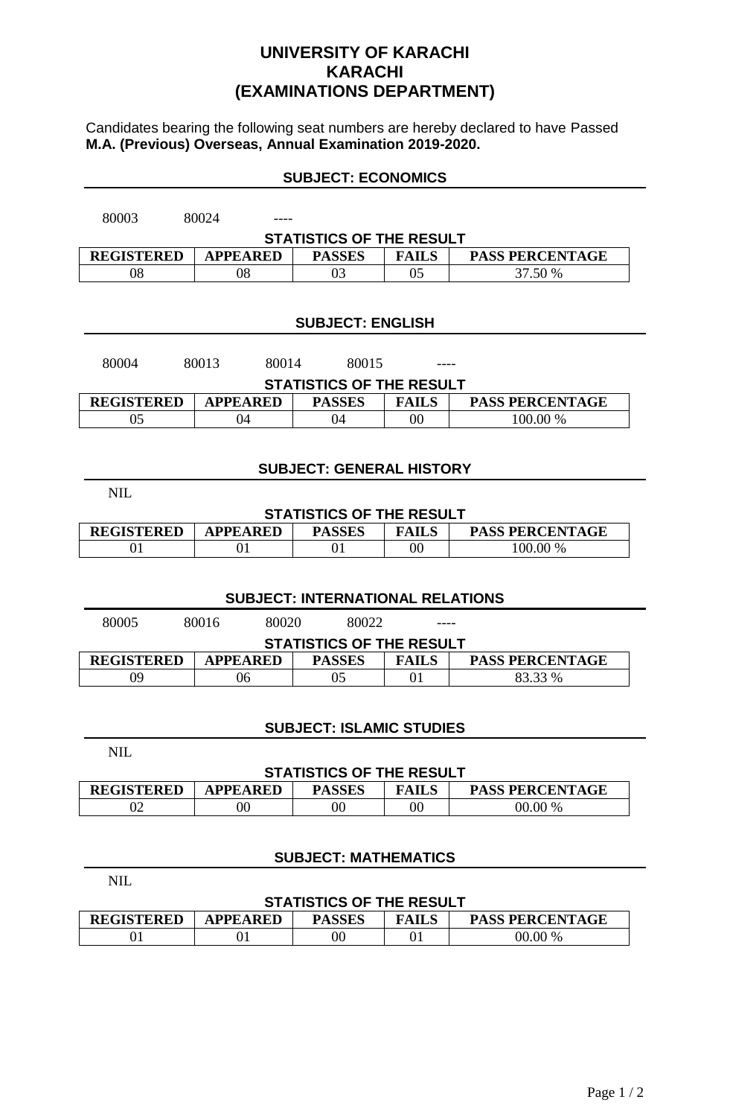## **UNIVERSITY OF KARACHI KARACHI (EXAMINATIONS DEPARTMENT)**

Candidates bearing the following seat numbers are hereby declared to have Passed **M.A. (Previous) Overseas, Annual Examination 2019-2020.**

| <b>SUBJECT: ECONOMICS</b> |
|---------------------------|
|---------------------------|

| 80003<br>80024                                                                                  |                 |                         |                |                        |  |  |
|-------------------------------------------------------------------------------------------------|-----------------|-------------------------|----------------|------------------------|--|--|
| <b>STATISTICS OF THE RESULT</b>                                                                 |                 |                         |                |                        |  |  |
| <b>REGISTERED</b><br><b>APPEARED</b><br><b>PASSES</b><br><b>FAILS</b><br><b>PASS PERCENTAGE</b> |                 |                         |                |                        |  |  |
| 08<br>03<br>0 <sub>5</sub><br>37.50 %<br>08                                                     |                 |                         |                |                        |  |  |
|                                                                                                 |                 |                         |                |                        |  |  |
|                                                                                                 |                 |                         |                |                        |  |  |
|                                                                                                 |                 | <b>SUBJECT: ENGLISH</b> |                |                        |  |  |
|                                                                                                 |                 |                         |                |                        |  |  |
| 80013<br>80004<br>80014<br>80015                                                                |                 |                         |                |                        |  |  |
| <b>STATISTICS OF THE RESULT</b>                                                                 |                 |                         |                |                        |  |  |
| <b>REGISTERED</b><br><b>APPEARED</b><br><b>PASSES</b><br><b>FAILS</b><br><b>PASS PERCENTAGE</b> |                 |                         |                |                        |  |  |
| 05<br>100.00 %<br>04<br>04<br>00                                                                |                 |                         |                |                        |  |  |
|                                                                                                 |                 |                         |                |                        |  |  |
|                                                                                                 |                 |                         |                |                        |  |  |
| <b>SUBJECT: GENERAL HISTORY</b>                                                                 |                 |                         |                |                        |  |  |
| <b>NIL</b>                                                                                      |                 |                         |                |                        |  |  |
| <b>STATISTICS OF THE RESULT</b>                                                                 |                 |                         |                |                        |  |  |
| <b>REGISTERED</b>                                                                               | <b>APPEARED</b> | <b>PASSES</b>           | <b>FAILS</b>   | <b>PASS PERCENTAGE</b> |  |  |
| 01                                                                                              | 01              | 01                      | 0 <sub>0</sub> | 100.00 %               |  |  |
|                                                                                                 |                 |                         |                |                        |  |  |
|                                                                                                 |                 |                         |                |                        |  |  |
| <b>SUBJECT: INTERNATIONAL RELATIONS</b>                                                         |                 |                         |                |                        |  |  |
| 80005<br>80016<br>80020<br>80022                                                                |                 |                         |                |                        |  |  |
| <b>STATISTICS OF THE RESULT</b>                                                                 |                 |                         |                |                        |  |  |
| <b>REGISTERED</b>                                                                               | <b>APPEARED</b> | <b>PASSES</b>           | <b>FAILS</b>   | <b>PASS PERCENTAGE</b> |  |  |
| 09                                                                                              | 05              | 01                      | 83.33 %        |                        |  |  |

## **SUBJECT: ISLAMIC STUDIES**

NIL

NIL

#### **STATISTICS OF THE RESULT**

| <b>REGISTERED</b> | <b>APPEARED</b> | <b>PASSES</b> | <b>FAILS</b> | <b>PASS PERCENTAGE</b> |
|-------------------|-----------------|---------------|--------------|------------------------|
|                   | $00\,$          | $\rm 00$      | 00           | .00 %<br>00.           |

## **SUBJECT: MATHEMATICS**

| <b>STATISTICS OF THE RESULT</b> |                 |               |              |                        |  |  |
|---------------------------------|-----------------|---------------|--------------|------------------------|--|--|
| <b>REGISTERED</b>               | <b>APPEARED</b> | <b>PASSES</b> | <b>FAILS</b> | <b>PASS PERCENTAGE</b> |  |  |
|                                 |                 |               |              | 00.00 %                |  |  |